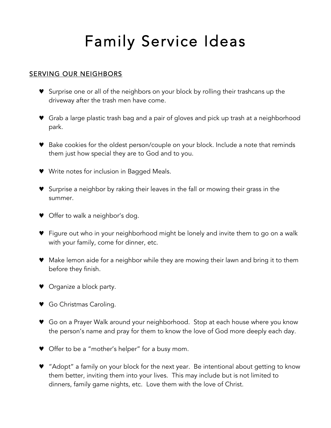# Family Service Ideas

# SERVING OUR NEIGHBORS

- ♥ Surprise one or all of the neighbors on your block by rolling their trashcans up the driveway after the trash men have come.
- ♥ Grab a large plastic trash bag and a pair of gloves and pick up trash at a neighborhood park.
- ♥ Bake cookies for the oldest person/couple on your block. Include a note that reminds them just how special they are to God and to you.
- ♥ Write notes for inclusion in Bagged Meals.
- ♥ Surprise a neighbor by raking their leaves in the fall or mowing their grass in the summer.
- ♥ Offer to walk a neighbor's dog.
- ♥ Figure out who in your neighborhood might be lonely and invite them to go on a walk with your family, come for dinner, etc.
- ♥ Make lemon aide for a neighbor while they are mowing their lawn and bring it to them before they finish.
- ♥ Organize a block party.
- ♥ Go Christmas Caroling.
- ♥ Go on a Prayer Walk around your neighborhood. Stop at each house where you know the person's name and pray for them to know the love of God more deeply each day.
- ♥ Offer to be a "mother's helper" for a busy mom.
- ♥ "Adopt" a family on your block for the next year. Be intentional about getting to know them better, inviting them into your lives. This may include but is not limited to dinners, family game nights, etc. Love them with the love of Christ.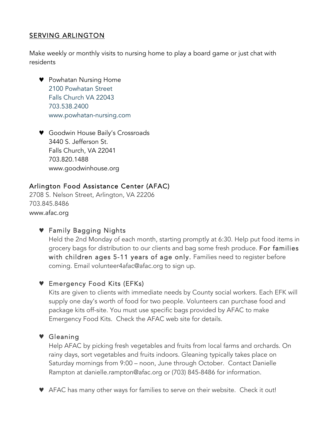# SERVING ARLINGTON

Make weekly or monthly visits to nursing home to play a board game or just chat with residents

- ♥ Powhatan Nursing Home 2100 Powhatan Street Falls Church VA 22043 703.538.2400 www.powhatan-nursing.com
- ♥ Goodwin House Baily's Crossroads 3440 S. Jefferson St. Falls Church, VA 22041 703.820.1488 www.goodwinhouse.org

# Arlington Food Assistance Center (AFAC)

2708 S. Nelson Street, Arlington, VA 22206 703.845.8486 www.afac.org

# ♥ Family Bagging Nights

Held the 2nd Monday of each month, starting promptly at 6:30. Help put food items in grocery bags for distribution to our clients and bag some fresh produce. For families with children ages 5-11 years of age only. Families need to register before coming. Email volunteer4afac@afac.org to sign up.

## ♥ Emergency Food Kits (EFKs)

Kits are given to clients with immediate needs by County social workers. Each EFK will supply one day's worth of food for two people. Volunteers can purchase food and package kits off-site. You must use specific bags provided by AFAC to make Emergency Food Kits. Check the AFAC web site for details.

## ♥ Gleaning

Help AFAC by picking fresh vegetables and fruits from local farms and orchards. On rainy days, sort vegetables and fruits indoors. Gleaning typically takes place on Saturday mornings from 9:00 – noon, June through October. Contact Danielle Rampton at danielle.rampton@afac.org or (703) 845-8486 for information.

♥ AFAC has many other ways for families to serve on their website. Check it out!